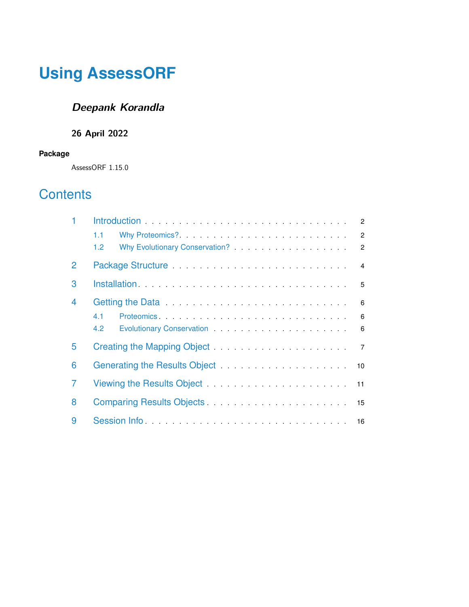# **Using AssessORF**

## **Deepank Korandla**

### **26 April 2022**

#### **Package**

AssessORF 1.15.0

## **Contents**

|              | $\overline{2}$                                                                                                              |  |
|--------------|-----------------------------------------------------------------------------------------------------------------------------|--|
|              | 1.1<br>$\overline{2}$                                                                                                       |  |
|              | 1.2 <sub>2</sub><br>$\overline{2}$                                                                                          |  |
| $\mathcal P$ | Package Structure <b>Package Structure Action</b><br>4                                                                      |  |
| 3            | 5                                                                                                                           |  |
| 4            | Getting the Data <b>Constitution</b> Contains a series and construct of the Constitution Constitution Constitution Con<br>6 |  |
|              | 4.1<br>6                                                                                                                    |  |
|              | 4.2<br>6                                                                                                                    |  |
| 5            | 7                                                                                                                           |  |
| 6            |                                                                                                                             |  |
| 7            | Viewing the Results Object Manual Allen Contains and Manual Allen Manual Allen Manual Allen Manual Allen                    |  |
| 8            | Comparing Results Objects.                                                                                                  |  |
| 9            |                                                                                                                             |  |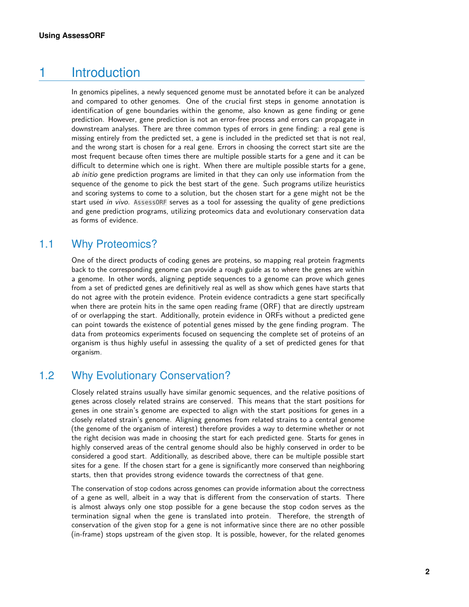### 1 Introduction

<span id="page-1-0"></span>In genomics pipelines, a newly sequenced genome must be annotated before it can be analyzed and compared to other genomes. One of the crucial first steps in genome annotation is identification of gene boundaries within the genome, also known as gene finding or gene prediction. However, gene prediction is not an error-free process and errors can propagate in downstream analyses. There are three common types of errors in gene finding: a real gene is missing entirely from the predicted set, a gene is included in the predicted set that is not real, and the wrong start is chosen for a real gene. Errors in choosing the correct start site are the most frequent because often times there are multiple possible starts for a gene and it can be difficult to determine which one is right. When there are multiple possible starts for a gene, ab initio gene prediction programs are limited in that they can only use information from the sequence of the genome to pick the best start of the gene. Such programs utilize heuristics and scoring systems to come to a solution, but the chosen start for a gene might not be the start used in vivo. AssessORF serves as a tool for assessing the quality of gene predictions and gene prediction programs, utilizing proteomics data and evolutionary conservation data as forms of evidence.

#### 1.1 Why Proteomics?

<span id="page-1-1"></span>One of the direct products of coding genes are proteins, so mapping real protein fragments back to the corresponding genome can provide a rough guide as to where the genes are within a genome. In other words, aligning peptide sequences to a genome can prove which genes from a set of predicted genes are definitively real as well as show which genes have starts that do not agree with the protein evidence. Protein evidence contradicts a gene start specifically when there are protein hits in the same open reading frame (ORF) that are directly upstream of or overlapping the start. Additionally, protein evidence in ORFs without a predicted gene can point towards the existence of potential genes missed by the gene finding program. The data from proteomics experiments focused on sequencing the complete set of proteins of an organism is thus highly useful in assessing the quality of a set of predicted genes for that organism.

#### 1.2 Why Evolutionary Conservation?

<span id="page-1-2"></span>Closely related strains usually have similar genomic sequences, and the relative positions of genes across closely related strains are conserved. This means that the start positions for genes in one strain's genome are expected to align with the start positions for genes in a closely related strain's genome. Aligning genomes from related strains to a central genome (the genome of the organism of interest) therefore provides a way to determine whether or not the right decision was made in choosing the start for each predicted gene. Starts for genes in highly conserved areas of the central genome should also be highly conserved in order to be considered a good start. Additionally, as described above, there can be multiple possible start sites for a gene. If the chosen start for a gene is significantly more conserved than neighboring starts, then that provides strong evidence towards the correctness of that gene.

The conservation of stop codons across genomes can provide information about the correctness of a gene as well, albeit in a way that is different from the conservation of starts. There is almost always only one stop possible for a gene because the stop codon serves as the termination signal when the gene is translated into protein. Therefore, the strength of conservation of the given stop for a gene is not informative since there are no other possible (in-frame) stops upstream of the given stop. It is possible, however, for the related genomes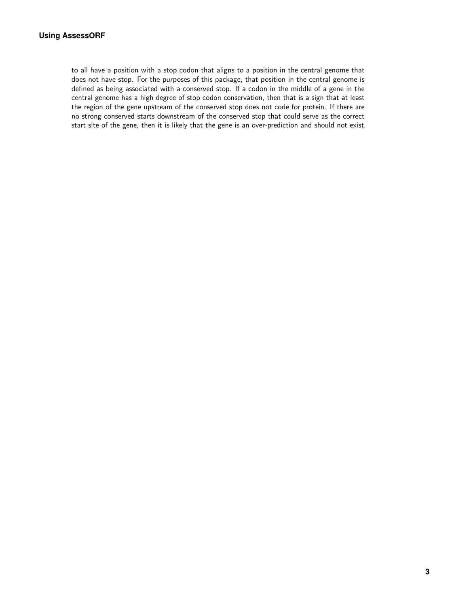to all have a position with a stop codon that aligns to a position in the central genome that does not have stop. For the purposes of this package, that position in the central genome is defined as being associated with a conserved stop. If a codon in the middle of a gene in the central genome has a high degree of stop codon conservation, then that is a sign that at least the region of the gene upstream of the conserved stop does not code for protein. If there are no strong conserved starts downstream of the conserved stop that could serve as the correct start site of the gene, then it is likely that the gene is an over-prediction and should not exist.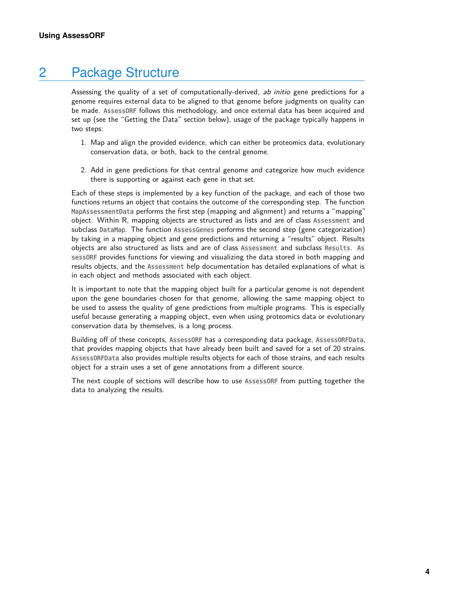### 2 Package Structure

<span id="page-3-0"></span>Assessing the quality of a set of computationally-derived, ab initio gene predictions for a genome requires external data to be aligned to that genome before judgments on quality can be made. AssessORF follows this methodology, and once external data has been acquired and set up (see the "Getting the Data" section below), usage of the package typically happens in two steps:

- 1. Map and align the provided evidence, which can either be proteomics data, evolutionary conservation data, or both, back to the central genome.
- 2. Add in gene predictions for that central genome and categorize how much evidence there is supporting or against each gene in that set.

Each of these steps is implemented by a key function of the package, and each of those two functions returns an object that contains the outcome of the corresponding step. The function MapAssessmentData performs the first step (mapping and alignment) and returns a "mapping" object. Within R, mapping objects are structured as lists and are of class Assessment and subclass DataMap. The function AssessGenes performs the second step (gene categorization) by taking in a mapping object and gene predictions and returning a "results" object. Results objects are also structured as lists and are of class Assessment and subclass Results. As sessORF provides functions for viewing and visualizing the data stored in both mapping and results objects, and the Assessment help documentation has detailed explanations of what is in each object and methods associated with each object.

It is important to note that the mapping object built for a particular genome is not dependent upon the gene boundaries chosen for that genome, allowing the same mapping object to be used to assess the quality of gene predictions from multiple programs. This is especially useful because generating a mapping object, even when using proteomics data or evolutionary conservation data by themselves, is a long process.

Building off of these concepts, AssessORF has a corresponding data package, AssessORFData, that provides mapping objects that have already been built and saved for a set of 20 strains. AssessORFData also provides multiple results objects for each of those strains, and each results object for a strain uses a set of gene annotations from a different source.

The next couple of sections will describe how to use AssessORF from putting together the data to analyzing the results.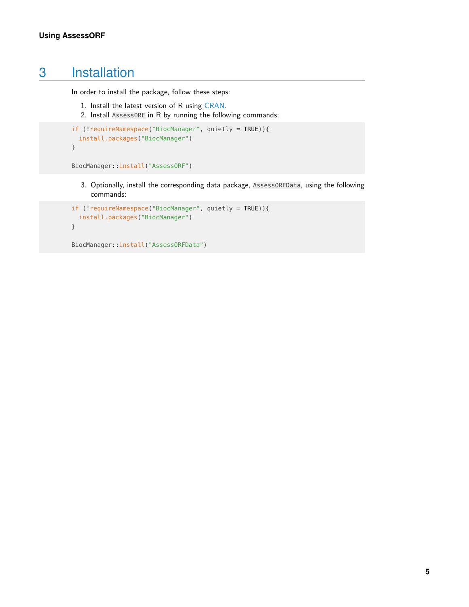## 3 Installation

<span id="page-4-0"></span>In order to install the package, follow these steps:

- 1. Install the latest version of R using [CRAN.](https://cran.r-project.org/)
- 2. Install AssessORF in R by running the following commands:

```
if (!requireNamespace("BiocManager", quietly = TRUE)){
  install.packages("BiocManager")
}
```

```
BiocManager::install("AssessORF")
```
3. Optionally, install the corresponding data package, AssessORFData, using the following commands:

```
if (!requireNamespace("BiocManager", quietly = TRUE)){
  install.packages("BiocManager")
}
```

```
BiocManager::install("AssessORFData")
```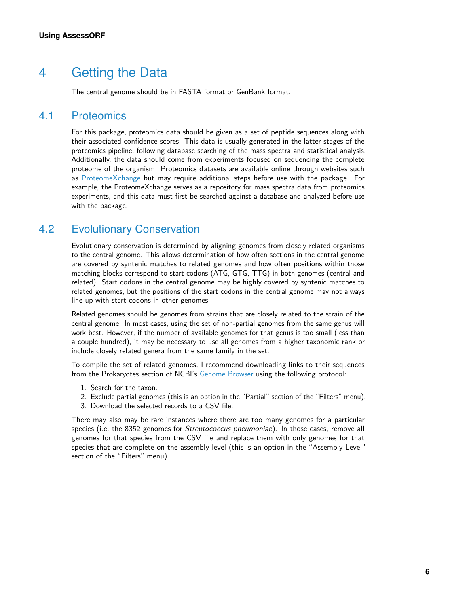## 4 Getting the Data

<span id="page-5-1"></span><span id="page-5-0"></span>The central genome should be in FASTA format or GenBank format.

#### 4.1 Proteomics

For this package, proteomics data should be given as a set of peptide sequences along with their associated confidence scores. This data is usually generated in the latter stages of the proteomics pipeline, following database searching of the mass spectra and statistical analysis. Additionally, the data should come from experiments focused on sequencing the complete proteome of the organism. Proteomics datasets are available online through websites such as [ProteomeXchange](http://www.proteomexchange.org/) but may require additional steps before use with the package. For example, the ProteomeXchange serves as a repository for mass spectra data from proteomics experiments, and this data must first be searched against a database and analyzed before use with the package.

#### 4.2 Evolutionary Conservation

<span id="page-5-2"></span>Evolutionary conservation is determined by aligning genomes from closely related organisms to the central genome. This allows determination of how often sections in the central genome are covered by syntenic matches to related genomes and how often positions within those matching blocks correspond to start codons (ATG, GTG, TTG) in both genomes (central and related). Start codons in the central genome may be highly covered by syntenic matches to related genomes, but the positions of the start codons in the central genome may not always line up with start codons in other genomes.

Related genomes should be genomes from strains that are closely related to the strain of the central genome. In most cases, using the set of non-partial genomes from the same genus will work best. However, if the number of available genomes for that genus is too small (less than a couple hundred), it may be necessary to use all genomes from a higher taxonomic rank or include closely related genera from the same family in the set.

To compile the set of related genomes, I recommend downloading links to their sequences from the Prokaryotes section of NCBI's [Genome Browser](https://www.ncbi.nlm.nih.gov/genome/browse/#!/prokaryotes/) using the following protocol:

- 1. Search for the taxon.
- 2. Exclude partial genomes (this is an option in the "Partial" section of the "Filters" menu).
- 3. Download the selected records to a CSV file.

There may also may be rare instances where there are too many genomes for a particular species (i.e. the 8352 genomes for *Streptococcus pneumoniae*). In those cases, remove all genomes for that species from the CSV file and replace them with only genomes for that species that are complete on the assembly level (this is an option in the "Assembly Level" section of the "Filters" menu).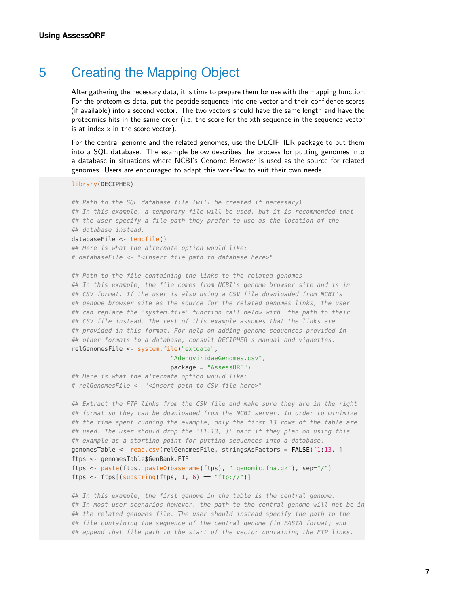### 5 Creating the Mapping Object

<span id="page-6-0"></span>After gathering the necessary data, it is time to prepare them for use with the mapping function. For the proteomics data, put the peptide sequence into one vector and their confidence scores (if available) into a second vector. The two vectors should have the same length and have the proteomics hits in the same order (i.e. the score for the xth sequence in the sequence vector is at index  $x$  in the score vector).

For the central genome and the related genomes, use the DECIPHER package to put them into a SQL database. The example below describes the process for putting genomes into a database in situations where NCBI's Genome Browser is used as the source for related genomes. Users are encouraged to adapt this workflow to suit their own needs.

#### library(DECIPHER)

## Path to the SQL database file (will be created if necessary) ## In this example, a temporary file will be used, but it is recommended that ## the user specify a file path they prefer to use as the location of the ## database instead.

#### databaseFile <- tempfile()

## Here is what the alternate option would like: # databaseFile <- "<insert file path to database here>"

## Path to the file containing the links to the related genomes ## In this example, the file comes from NCBI's genome browser site and is in ## CSV format. If the user is also using a CSV file downloaded from NCBI's ## genome browser site as the source for the related genomes links, the user ## can replace the 'system.file' function call below with the path to their ## CSV file instead. The rest of this example assumes that the links are ## provided in this format. For help on adding genome sequences provided in ## other formats to a database, consult DECIPHER's manual and vignettes. relGenomesFile <- system.file("extdata",

#### "AdenoviridaeGenomes.csv",

#### package = "AssessORF")

## Here is what the alternate option would like: # relGenomesFile <- "<insert path to CSV file here>"

## Extract the FTP links from the CSV file and make sure they are in the right ## format so they can be downloaded from the NCBI server. In order to minimize ## the time spent running the example, only the first 13 rows of the table are ## used. The user should drop the '[1:13, ]' part if they plan on using this ## example as a starting point for putting sequences into a database. genomesTable <- read.csv(relGenomesFile, stringsAsFactors = FALSE)[1:13, ] ftps <- genomesTable\$GenBank.FTP ftps <- paste(ftps, paste0(basename(ftps), "\_genomic.fna.gz"), sep="/") ftps <- ftps[(substring(ftps, 1, 6) == "ftp://")]

## In this example, the first genome in the table is the central genome. ## In most user scenarios however, the path to the central genome will not be in ## the related genomes file. The user should instead specify the path to the ## file containing the sequence of the central genome (in FASTA format) and ## append that file path to the start of the vector containing the FTP links.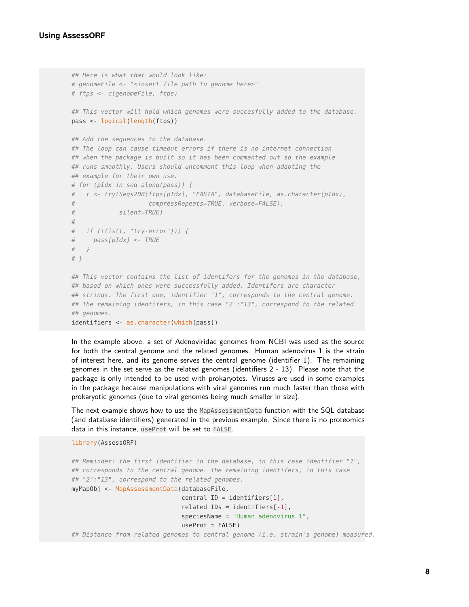```
## Here is what that would look like:
# genomeFile <- "<insert file path to genome here>"
# ftps <- c(genomeFile, ftps)
## This vector will hold which genomes were succesfully added to the database.
pass <- logical(length(ftps))
## Add the sequences to the database.
## The loop can cause timeout errors if there is no internet connection
## when the package is built so it has been commented out so the example
## runs smoothly. Users should uncomment this loop when adapting the
## example for their own use.
# for (pIdx in seq_along(pass)) {
# t <- try(Seqs2DB(ftps[pIdx], "FASTA", databaseFile, as.character(pIdx),
# compressRepeats=TRUE, verbose=FALSE),
# silent=TRUE)
#
# if (!(is(t, "try-error"))) {
# pass[pIdx] <- TRUE
# }
# }
## This vector contains the list of identifers for the genomes in the database,
## based on which ones were successfully added. Identifers are character
## strings. The first one, identifier "1", corresponds to the central genome.
## The remaining identifers, in this case "2":"13", correspond to the related
## genomes.
identifiers <- as.character(which(pass))
```
In the example above, a set of Adenoviridae genomes from NCBI was used as the source for both the central genome and the related genomes. Human adenovirus 1 is the strain of interest here, and its genome serves the central genome (identifier 1). The remaining genomes in the set serve as the related genomes (identifiers 2 - 13). Please note that the package is only intended to be used with prokaryotes. Viruses are used in some examples in the package because manipulations with viral genomes run much faster than those with prokaryotic genomes (due to viral genomes being much smaller in size).

The next example shows how to use the MapAssessmentData function with the SQL database (and database identifiers) generated in the previous example. Since there is no proteomics data in this instance, useProt will be set to FALSE.

```
library(AssessORF)
```

```
## Reminder: the first identifier in the database, in this case identifier "1",
## corresponds to the central genome. The remaining identifers, in this case
## "2":"13", correspond to the related genomes.
myMapObj <- MapAssessmentData(databaseFile,
                              central = identifiers[1],
                              related_\text{IDS} = identifiers[-1],
                              speciesName = "Human adenovirus 1",
                              useProt = FALSE)## Distance from related genomes to central genome (i.e. strain's genome) measured.
```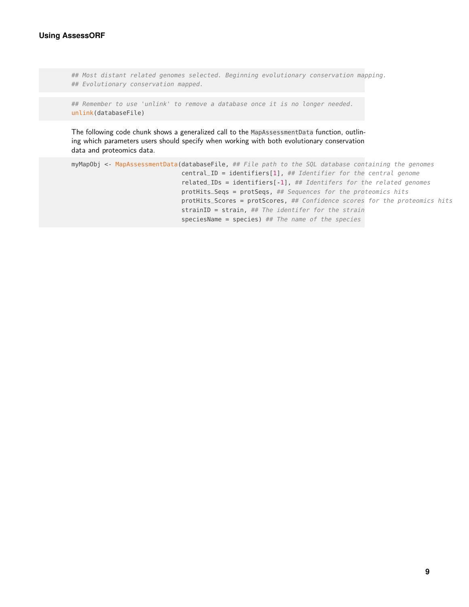```
## Most distant related genomes selected. Beginning evolutionary conservation mapping.
## Evolutionary conservation mapped.
```

```
## Remember to use 'unlink' to remove a database once it is no longer needed.
unlink(databaseFile)
```
The following code chunk shows a generalized call to the MapAssessmentData function, outlining which parameters users should specify when working with both evolutionary conservation data and proteomics data.

```
myMapObj <- MapAssessmentData(databaseFile, ## File path to the SQL database containing the genomes
                              central_ID = identifiers[1], ## Identifier for the central genome
                              related_IDs = identifiers[-1], ## Identifers for the related genomes
                              protHits_Seqs = protSeqs, ## Sequences for the proteomics hits
                              protHits_Scores = protScores, ## Confidence scores for the proteomics hits
                              strain = strain, # The identifier for the strainspeciesName = species) ## The name of the species
```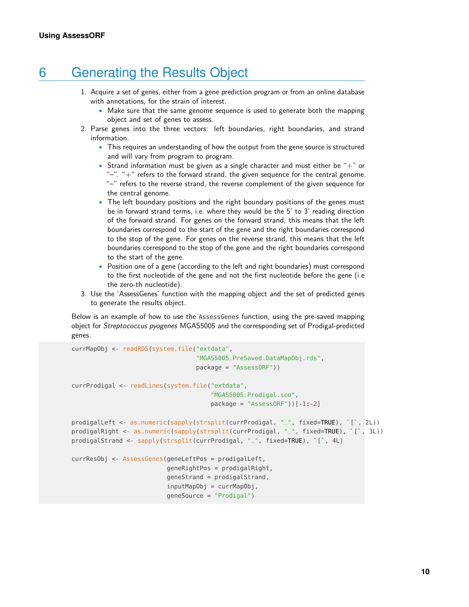### 6 Generating the Results Object

- <span id="page-9-0"></span>1. Acquire a set of genes, either from a gene prediction program or from an online database with annotations, for the strain of interest.
	- Make sure that the same genome sequence is used to generate both the mapping object and set of genes to assess.
- 2. Parse genes into the three vectors: left boundaries, right boundaries, and strand information.
	- This requires an understanding of how the output from the gene source is structured and will vary from program to program.
	- Strand information must be given as a single character and must either be "+" or "-". "+" refers to the forward strand, the given sequence for the central genome. "–" refers to the reverse strand, the reverse complement of the given sequence for the central genome.
	- The left boundary positions and the right boundary positions of the genes must be in forward strand terms, i.e. where they would be the 5' to 3' reading direction of the forward strand. For genes on the forward strand, this means that the left boundaries correspond to the start of the gene and the right boundaries correspond to the stop of the gene. For genes on the reverse strand, this means that the left boundaries correspond to the stop of the gene and the right boundaries correspond to the start of the gene.
	- Position one of a gene (according to the left and right boundaries) must correspond to the first nucleotide of the gene and not the first nucleotide before the gene (i.e the zero-th nucleotide).
- 3. Use the 'AssessGenes' function with the mapping object and the set of predicted genes to generate the results object.

Below is an example of how to use the AssessGenes function, using the pre-saved mapping object for Streptococcus pyogenes MGAS5005 and the corresponding set of Prodigal-predicted genes.

```
currMapObj <- readRDS(system.file("extdata",
                                                 "MGAS5005_PreSaved_DataMapObj.rds",
                                                 package = "AssessORF"))
currProdigal <- readLines(system.file("extdata",
                                                       "MGAS5005_Prodigal.sco",
                                                       package = "AssessORF") [ -1:-2]prodigalLeft <- as.numeric(sapply(strsplit(currProdigal, "_", fixed=TRUE), `[`, 2L))
prodigalLeft <- as.numeric(sapply(strsplit(currProdigal, "_", fixed=<mark>TRUE</mark>), `[`, 2L))<br>prodigalRight <- as.numeric(sapply(strsplit(currProdigal, "_", fixed=TRUE), `[`, 3L))
prodigalLeft <- as.numeric(sapply(strsplit(currProdigal, "_", fixed<mark>=TRUE</mark>),<br>prodigalRight <- as.numeric(sapply(strsplit(currProdigal, "_", fixed=<mark>TRUE</mark>)<br>prodigalStrand <- sapply(strsplit(currProdigal, "_", fixed=TRUE), 
currResObj <- AssessGenes(geneLeftPos = prodigalLeft,
                                      geneRightPos = prodigalRight,
                                      geneStrand = prodigalStrand,
                                      inputMapObj = currMapObj,
                                      geneSource = "Prodigal")
```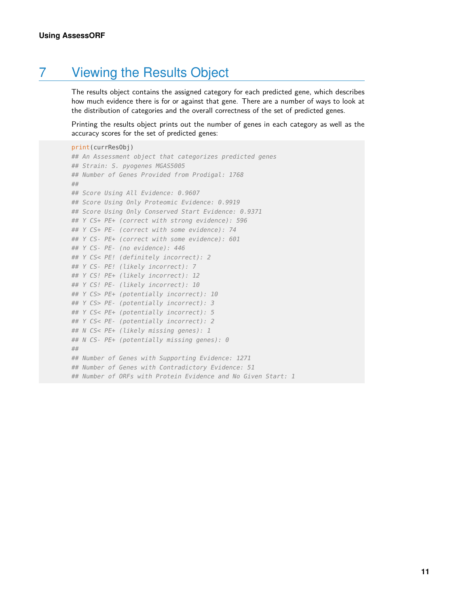## 7 Viewing the Results Object

<span id="page-10-0"></span>The results object contains the assigned category for each predicted gene, which describes how much evidence there is for or against that gene. There are a number of ways to look at the distribution of categories and the overall correctness of the set of predicted genes.

Printing the results object prints out the number of genes in each category as well as the accuracy scores for the set of predicted genes:

```
print(currResObj)
## An Assessment object that categorizes predicted genes
## Strain: S. pyogenes MGAS5005
## Number of Genes Provided from Prodigal: 1768
##
## Score Using All Evidence: 0.9607
## Score Using Only Proteomic Evidence: 0.9919
## Score Using Only Conserved Start Evidence: 0.9371
## Y CS+ PE+ (correct with strong evidence): 596
## Y CS+ PE- (correct with some evidence): 74
## Y CS- PE+ (correct with some evidence): 601
## Y CS- PE- (no evidence): 446
## Y CS< PE! (definitely incorrect): 2
## Y CS- PE! (likely incorrect): 7
## Y CS! PE+ (likely incorrect): 12
## Y CS! PE- (likely incorrect): 10
## Y CS> PE+ (potentially incorrect): 10
## Y CS> PE- (potentially incorrect): 3
## Y CS< PE+ (potentially incorrect): 5
## Y CS< PE- (potentially incorrect): 2
## N CS< PE+ (likely missing genes): 1
## N CS- PE+ (potentially missing genes): 0
##
## Number of Genes with Supporting Evidence: 1271
## Number of Genes with Contradictory Evidence: 51
## Number of ORFs with Protein Evidence and No Given Start: 1
```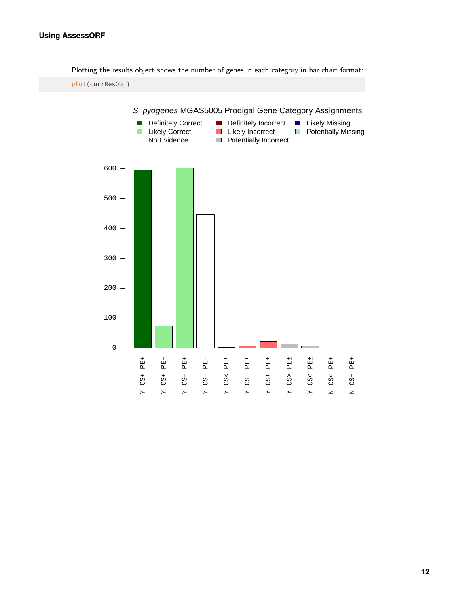#### **Using AssessORF**

Plotting the results object shows the number of genes in each category in bar chart format:

plot(currResObj)

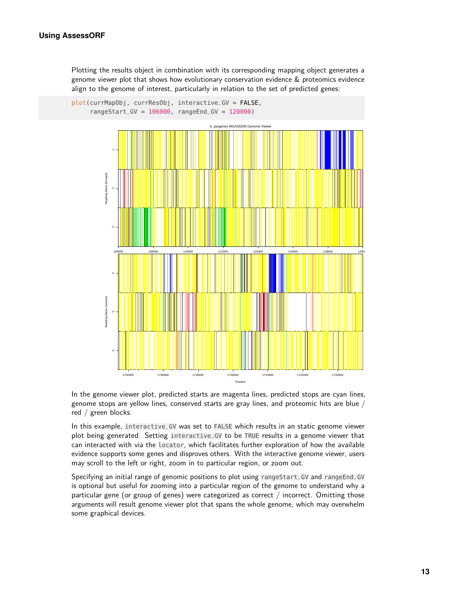Plotting the results object in combination with its corresponding mapping object generates a genome viewer plot that shows how evolutionary conservation evidence & proteomics evidence align to the genome of interest, particularly in relation to the set of predicted genes:



In the genome viewer plot, predicted starts are magenta lines, predicted stops are cyan lines, genome stops are yellow lines, conserved starts are gray lines, and proteomic hits are blue / red / green blocks.

In this example, interactive\_GV was set to FALSE which results in an static genome viewer plot being generated. Setting interactive\_GV to be TRUE results in a genome viewer that can interacted with via the locator, which facilitates further exploration of how the available evidence supports some genes and disproves others. With the interactive genome viewer, users may scroll to the left or right, zoom in to particular region, or zoom out.

Specifying an initial range of genomic positions to plot using rangeStart\_GV and rangeEnd\_GV is optional but useful for zooming into a particular region of the genome to understand why a particular gene (or group of genes) were categorized as correct  $/$  incorrect. Omitting those arguments will result genome viewer plot that spans the whole genome, which may overwhelm some graphical devices.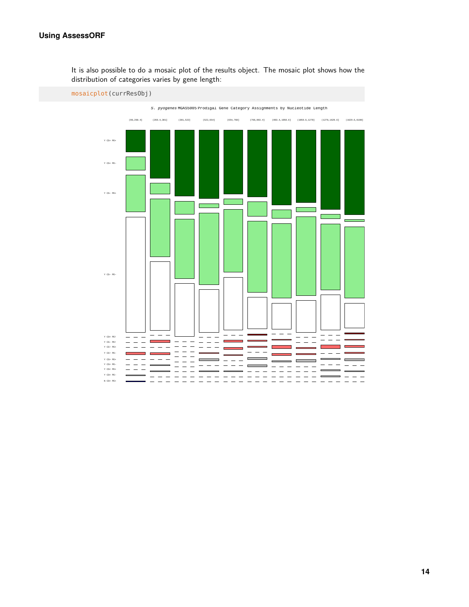#### **Using AssessORF**

It is also possible to do a mosaic plot of the results object. The mosaic plot shows how the distribution of categories varies by gene length:

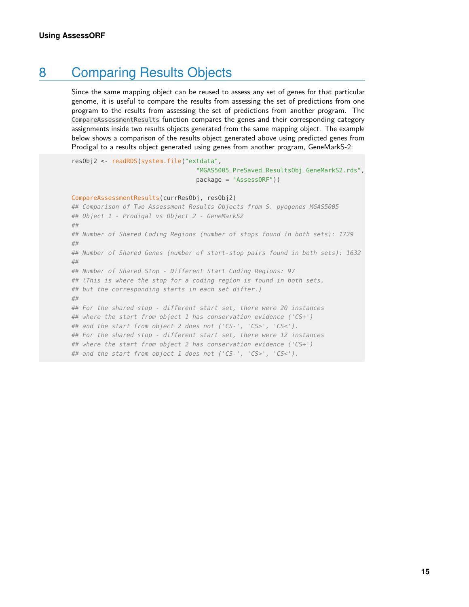## 8 Comparing Results Objects

<span id="page-14-0"></span>Since the same mapping object can be reused to assess any set of genes for that particular genome, it is useful to compare the results from assessing the set of predictions from one program to the results from assessing the set of predictions from another program. The CompareAssessmentResults function compares the genes and their corresponding category assignments inside two results objects generated from the same mapping object. The example below shows a comparison of the results object generated above using predicted genes from Prodigal to a results object generated using genes from another program, GeneMarkS-2:

resObj2 <- readRDS(system.file("extdata",

"MGAS5005\_PreSaved\_ResultsObj\_GeneMarkS2.rds", package = "AssessORF"))

```
CompareAssessmentResults(currResObj, resObj2)
## Comparison of Two Assessment Results Objects from S. pyogenes MGAS5005
## Object 1 - Prodigal vs Object 2 - GeneMarkS2
##
## Number of Shared Coding Regions (number of stops found in both sets): 1729
##
## Number of Shared Genes (number of start-stop pairs found in both sets): 1632
##
## Number of Shared Stop - Different Start Coding Regions: 97
## (This is where the stop for a coding region is found in both sets,
## but the corresponding starts in each set differ.)
##
## For the shared stop - different start set, there were 20 instances
## where the start from object 1 has conservation evidence ('CS+')
## and the start from object 2 does not ('CS-', 'CS>', 'CS<').
## For the shared stop - different start set, there were 12 instances
## where the start from object 2 has conservation evidence ('CS+')
## and the start from object 1 does not ('CS-', 'CS>', 'CS<').
```